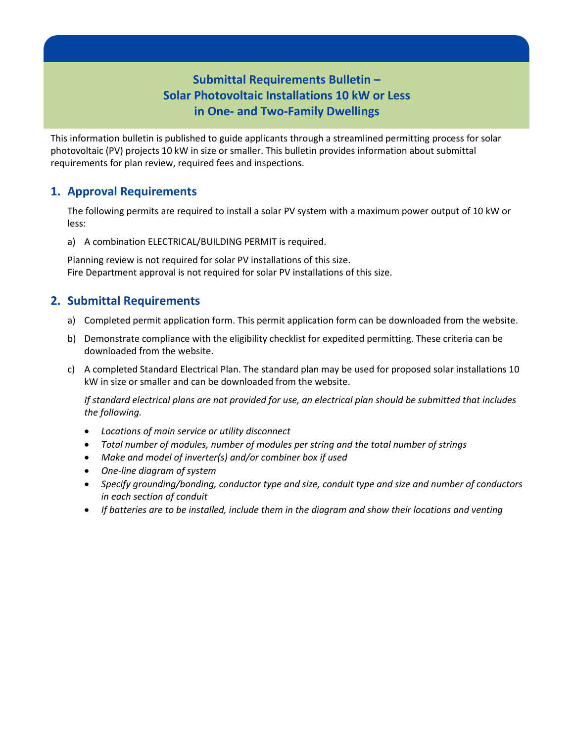# **Submittal Requirements Bulletin – Solar Photovoltaic Installations 10 kW or Less in One- and Two-Family Dwellings**

This information bulletin is published to guide applicants through a streamlined permitting process for solar photovoltaic (PV) projects 10 kW in size or smaller. This bulletin provides information about submittal requirements for plan review, required fees and inspections.

### **1. Approval Requirements**

The following permits are required to install a solar PV system with a maximum power output of 10 kW or less:

a) A combination ELECTRICAL/BUILDING PERMIT is required.

Planning review is not required for solar PV installations of this size. Fire Department approval is not required for solar PV installations of this size.

## **2. Submittal Requirements**

- a) Completed permit application form. This permit application form can be downloaded from the website.
- b) Demonstrate compliance with the eligibility checklist for expedited permitting. These criteria can be downloaded from the website.
- c) A completed Standard Electrical Plan. The standard plan may be used for proposed solar installations 10 kW in size or smaller and can be downloaded from the website.

*If standard electrical plans are not provided for use, an electrical plan should be submitted that includes the following.*

- *Locations of main service or utility disconnect*
- *Total number of modules, number of modules per string and the total number of strings*
- *Make and model of inverter(s) and/or combiner box if used*
- *One-line diagram of system*
- *Specify grounding/bonding, conductor type and size, conduit type and size and number of conductors in each section of conduit*
- *If batteries are to be installed, include them in the diagram and show their locations and venting*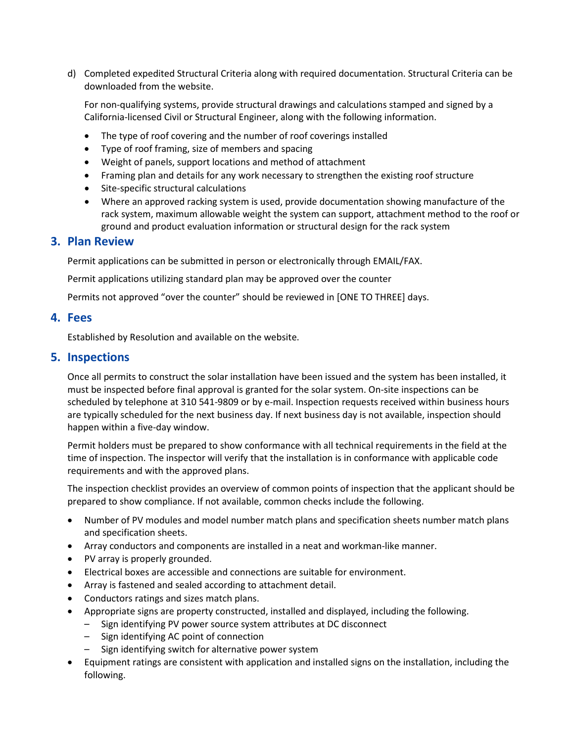d) Completed expedited Structural Criteria along with required documentation. Structural Criteria can be downloaded from the website.

For non-qualifying systems, provide structural drawings and calculations stamped and signed by a California-licensed Civil or Structural Engineer, along with the following information.

- The type of roof covering and the number of roof coverings installed
- Type of roof framing, size of members and spacing
- Weight of panels, support locations and method of attachment
- Framing plan and details for any work necessary to strengthen the existing roof structure
- Site-specific structural calculations
- Where an approved racking system is used, provide documentation showing manufacture of the rack system, maximum allowable weight the system can support, attachment method to the roof or ground and product evaluation information or structural design for the rack system

### **3. Plan Review**

Permit applications can be submitted in person or electronically through EMAIL/FAX.

Permit applications utilizing standard plan may be approved over the counter

Permits not approved "over the counter" should be reviewed in [ONE TO THREE] days.

#### **4. Fees**

Established by Resolution and available on the website.

### **5. Inspections**

Once all permits to construct the solar installation have been issued and the system has been installed, it must be inspected before final approval is granted for the solar system. On-site inspections can be scheduled by telephone at 310 541-9809 or by e-mail. Inspection requests received within business hours are typically scheduled for the next business day. If next business day is not available, inspection should happen within a five-day window.

Permit holders must be prepared to show conformance with all technical requirements in the field at the time of inspection. The inspector will verify that the installation is in conformance with applicable code requirements and with the approved plans.

The inspection checklist provides an overview of common points of inspection that the applicant should be prepared to show compliance. If not available, common checks include the following.

- Number of PV modules and model number match plans and specification sheets number match plans and specification sheets.
- Array conductors and components are installed in a neat and workman-like manner.
- PV array is properly grounded.
- Electrical boxes are accessible and connections are suitable for environment.
- Array is fastened and sealed according to attachment detail.
- Conductors ratings and sizes match plans.
- Appropriate signs are property constructed, installed and displayed, including the following.
	- Sign identifying PV power source system attributes at DC disconnect
	- Sign identifying AC point of connection
	- Sign identifying switch for alternative power system
- Equipment ratings are consistent with application and installed signs on the installation, including the following.